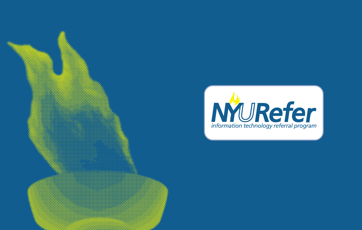